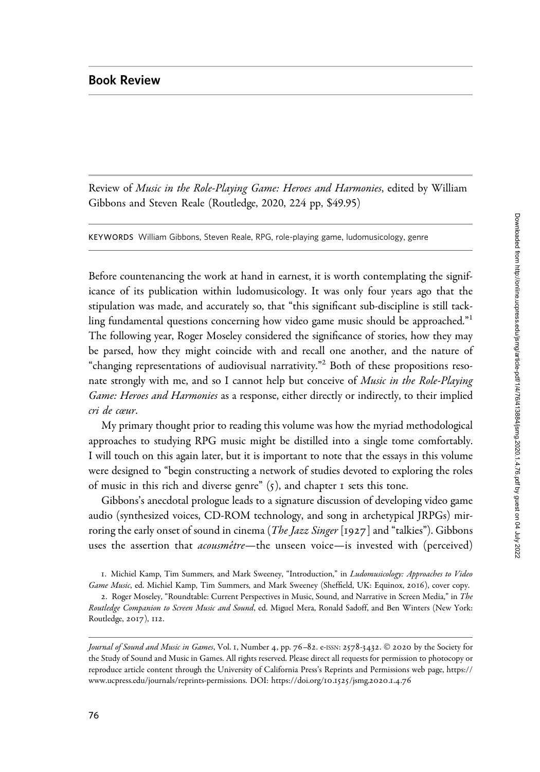## Book Review

Review of Music in the Role-Playing Game: Heroes and Harmonies, edited by William Gibbons and Steven Reale (Routledge, 2020, 224 pp, \$49.95)

KEYWORDS William Gibbons, Steven Reale, RPG, role-playing game, ludomusicology, genre

Before countenancing the work at hand in earnest, it is worth contemplating the significance of its publication within ludomusicology. It was only four years ago that the stipulation was made, and accurately so, that "this significant sub-discipline is still tackling fundamental questions concerning how video game music should be approached."<sup>1</sup> The following year, Roger Moseley considered the significance of stories, how they may be parsed, how they might coincide with and recall one another, and the nature of "changing representations of audiovisual narrativity."<sup>2</sup> Both of these propositions resonate strongly with me, and so I cannot help but conceive of *Music in the Role-Playing* Game: Heroes and Harmonies as a response, either directly or indirectly, to their implied cri de cœur.

My primary thought prior to reading this volume was how the myriad methodological approaches to studying RPG music might be distilled into a single tome comfortably. I will touch on this again later, but it is important to note that the essays in this volume were designed to "begin constructing a network of studies devoted to exploring the roles of music in this rich and diverse genre"  $(5)$ , and chapter I sets this tone.

Gibbons's anecdotal prologue leads to a signature discussion of developing video game audio (synthesized voices, CD-ROM technology, and song in archetypical JRPGs) mirroring the early onset of sound in cinema (*The Jazz Singer* [1927] and "talkies"). Gibbons uses the assertion that *acousmêtre*—the unseen voice—is invested with (perceived)

1. Michiel Kamp, Tim Summers, and Mark Sweeney, "Introduction," in Ludomusicology: Approaches to Video Game Music, ed. Michiel Kamp, Tim Summers, and Mark Sweeney (Sheffield, UK: Equinox, 2016), cover copy.

<sup>2.</sup> Roger Moseley, "Roundtable: Current Perspectives in Music, Sound, and Narrative in Screen Media," in The Routledge Companion to Screen Music and Sound, ed. Miguel Mera, Ronald Sadoff, and Ben Winters (New York: Routledge, 2017), 112.

Journal of Sound and Music in Games, Vol. 1, Number 4, pp. 76–82. e-ISSN: 2578-3432. © 2020 by the Society for the Study of Sound and Music in Games. All rights reserved. Please direct all requests for permission to photocopy or reproduce article content through the University of California Press's Reprints and Permissions web page, [https://](https://www.ucpress.edu/journals/reprints-permissions) [www.ucpress.edu/journals/reprints-permissions](https://www.ucpress.edu/journals/reprints-permissions). [DOI: https://doi.org/](https://doi.org/10.1525/jsmg.2020.1.4.76)10.1525/jsmg.2020.1.4.76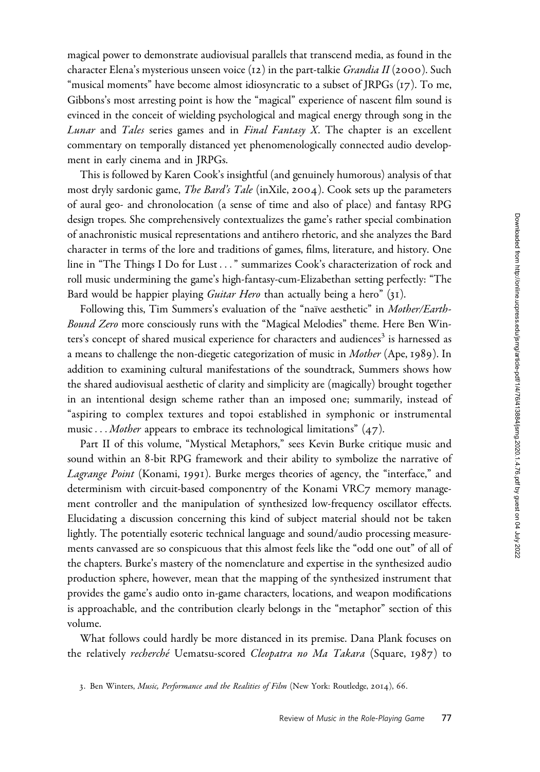magical power to demonstrate audiovisual parallels that transcend media, as found in the character Elena's mysterious unseen voice  $(12)$  in the part-talkie *Grandia II* (2000). Such "musical moments" have become almost idiosyncratic to a subset of JRPGs (17). To me, Gibbons's most arresting point is how the "magical" experience of nascent film sound is evinced in the conceit of wielding psychological and magical energy through song in the Lunar and Tales series games and in Final Fantasy X. The chapter is an excellent commentary on temporally distanced yet phenomenologically connected audio development in early cinema and in JRPGs.

This is followed by Karen Cook's insightful (and genuinely humorous) analysis of that most dryly sardonic game, *The Bard's Tale* (inXile, 2004). Cook sets up the parameters of aural geo- and chronolocation (a sense of time and also of place) and fantasy RPG design tropes. She comprehensively contextualizes the game's rather special combination of anachronistic musical representations and antihero rhetoric, and she analyzes the Bard character in terms of the lore and traditions of games, films, literature, and history. One line in "The Things I Do for Lust ..." summarizes Cook's characterization of rock and roll music undermining the game's high-fantasy-cum-Elizabethan setting perfectly: "The Bard would be happier playing *Guitar Hero* than actually being a hero" (31).

Following this, Tim Summers's evaluation of the "naïve aesthetic" in Mother/Earth-Bound Zero more consciously runs with the "Magical Melodies" theme. Here Ben Winters's concept of shared musical experience for characters and audiences<sup>3</sup> is harnessed as a means to challenge the non-diegetic categorization of music in *Mother* (Ape, 1989). In addition to examining cultural manifestations of the soundtrack, Summers shows how the shared audiovisual aesthetic of clarity and simplicity are (magically) brought together in an intentional design scheme rather than an imposed one; summarily, instead of "aspiring to complex textures and topoi established in symphonic or instrumental music... *Mother* appears to embrace its technological limitations"  $(47)$ .

Part II of this volume, "Mystical Metaphors," sees Kevin Burke critique music and sound within an 8-bit RPG framework and their ability to symbolize the narrative of Lagrange Point (Konami, 1991). Burke merges theories of agency, the "interface," and determinism with circuit-based componentry of the Konami VRC7 memory management controller and the manipulation of synthesized low-frequency oscillator effects. Elucidating a discussion concerning this kind of subject material should not be taken lightly. The potentially esoteric technical language and sound/audio processing measurements canvassed are so conspicuous that this almost feels like the "odd one out" of all of the chapters. Burke's mastery of the nomenclature and expertise in the synthesized audio production sphere, however, mean that the mapping of the synthesized instrument that provides the game's audio onto in-game characters, locations, and weapon modifications is approachable, and the contribution clearly belongs in the "metaphor" section of this volume.

What follows could hardly be more distanced in its premise. Dana Plank focuses on the relatively recherché Uematsu-scored Cleopatra no Ma Takara (Square, 1987) to

<sup>3.</sup> Ben Winters, Music, Performance and the Realities of Film (New York: Routledge, 2014), 66.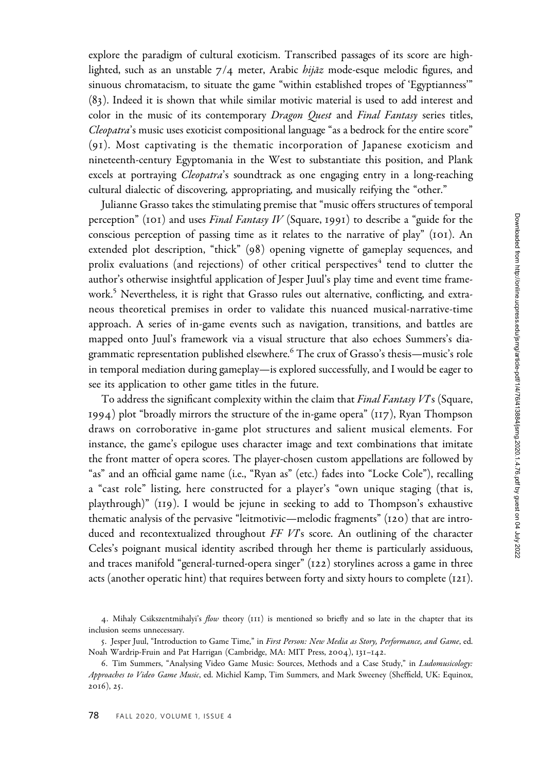explore the paradigm of cultural exoticism. Transcribed passages of its score are highlighted, such as an unstable  $7/4$  meter, Arabic *hijāz* mode-esque melodic figures, and sinuous chromatacism, to situate the game "within established tropes of 'Egyptianness'" (83). Indeed it is shown that while similar motivic material is used to add interest and color in the music of its contemporary Dragon Quest and Final Fantasy series titles, Cleopatra's music uses exoticist compositional language "as a bedrock for the entire score" (9 1). Most captivating is the thematic incorporation of Japanese exoticism and nineteenth-century Egyptomania in the West to substantiate this position, and Plank excels at portraying *Cleopatra's* soundtrack as one engaging entry in a long-reaching cultural dialectic of discovering, appropriating, and musically reifying the "other."

Julianne Grasso takes the stimulating premise that "music offers structures of temporal perception" (101) and uses *Final Fantasy IV* (Square, 1991) to describe a "guide for the conscious perception of passing time as it relates to the narrative of play" (101). An extended plot description, "thick" (98) opening vignette of gameplay sequences, and prolix evaluations (and rejections) of other critical perspectives<sup>4</sup> tend to clutter the author's otherwise insightful application of Jesper Juul's play time and event time framework.<sup>5</sup> Nevertheless, it is right that Grasso rules out alternative, conflicting, and extraneous theoretical premises in order to validate this nuanced musical-narrative-time approach. A series of in-game events such as navigation, transitions, and battles are mapped onto Juul's framework via a visual structure that also echoes Summers's diagrammatic representation published elsewhere.<sup>6</sup> The crux of Grasso's thesis—music's role in temporal mediation during gameplay—is explored successfully, and I would be eager to see its application to other game titles in the future.

To address the significant complexity within the claim that Final Fantasy VTs (Square, 1994) plot "broadly mirrors the structure of the in-game opera" (117), Ryan Thompson draws on corroborative in-game plot structures and salient musical elements. For instance, the game's epilogue uses character image and text combinations that imitate the front matter of opera scores. The player-chosen custom appellations are followed by "as" and an official game name (i.e., "Ryan as" (etc.) fades into "Locke Cole"), recalling a "cast role" listing, here constructed for a player's "own unique staging (that is, playthrough)" (119). I would be jejune in seeking to add to Thompson's exhaustive thematic analysis of the pervasive "leitmotivic—melodic fragments" (120) that are introduced and recontextualized throughout FF VTs score. An outlining of the character Celes's poignant musical identity ascribed through her theme is particularly assiduous, and traces manifold "general-turned-opera singer" (122) storylines across a game in three acts (another operatic hint) that requires between forty and sixty hours to complete  $(121)$ .

<sup>4.</sup> Mihaly Csikszentmihalyi's flow theory (111) is mentioned so briefly and so late in the chapter that its inclusion seems unnecessary.

<sup>5.</sup> Jesper Juul, "Introduction to Game Time," in First Person: New Media as Story, Performance, and Game, ed. Noah Wardrip-Fruin and Pat Harrigan (Cambridge, MA: MIT Press, 2004), 131–142.

<sup>6.</sup> Tim Summers, "Analysing Video Game Music: Sources, Methods and a Case Study," in Ludomusicology: Approaches to Video Game Music, ed. Michiel Kamp, Tim Summers, and Mark Sweeney (Sheffield, UK: Equinox, 2016), 25.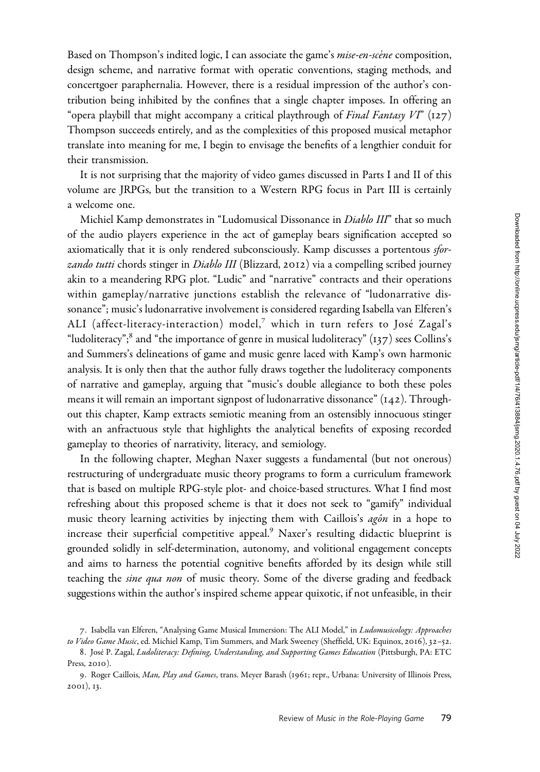Based on Thompson's indited logic, I can associate the game's *mise-en-scène* composition, design scheme, and narrative format with operatic conventions, staging methods, and concertgoer paraphernalia. However, there is a residual impression of the author's contribution being inhibited by the confines that a single chapter imposes. In offering an "opera playbill that might accompany a critical playthrough of Final Fantasy VI" (127) Thompson succeeds entirely, and as the complexities of this proposed musical metaphor translate into meaning for me, I begin to envisage the benefits of a lengthier conduit for their transmission.

It is not surprising that the majority of video games discussed in Parts I and II of this volume are JRPGs, but the transition to a Western RPG focus in Part III is certainly a welcome one.

Michiel Kamp demonstrates in "Ludomusical Dissonance in *Diablo III*" that so much of the audio players experience in the act of gameplay bears signification accepted so axiomatically that it is only rendered subconsciously. Kamp discusses a portentous sforzando tutti chords stinger in Diablo III (Blizzard, 2012) via a compelling scribed journey akin to a meandering RPG plot. "Ludic" and "narrative" contracts and their operations within gameplay/narrative junctions establish the relevance of "ludonarrative dissonance"; music's ludonarrative involvement is considered regarding Isabella van Elferen's ALI (affect-literacy-interaction) model,<sup>7</sup> which in turn refers to José Zagal's "ludoliteracy";<sup>8</sup> and "the importance of genre in musical ludoliteracy"  $(137)$  sees Collins's and Summers's delineations of game and music genre laced with Kamp's own harmonic analysis. It is only then that the author fully draws together the ludoliteracy components of narrative and gameplay, arguing that "music's double allegiance to both these poles means it will remain an important signpost of ludonarrative dissonance" (142). Throughout this chapter, Kamp extracts semiotic meaning from an ostensibly innocuous stinger with an anfractuous style that highlights the analytical benefits of exposing recorded gameplay to theories of narrativity, literacy, and semiology.

In the following chapter, Meghan Naxer suggests a fundamental (but not onerous) restructuring of undergraduate music theory programs to form a curriculum framework that is based on multiple RPG-style plot- and choice-based structures. What I find most refreshing about this proposed scheme is that it does not seek to "gamify" individual music theory learning activities by injecting them with Caillois's agôn in a hope to increase their superficial competitive appeal.<sup>9</sup> Naxer's resulting didactic blueprint is grounded solidly in self-determination, autonomy, and volitional engagement concepts and aims to harness the potential cognitive benefits afforded by its design while still teaching the sine qua non of music theory. Some of the diverse grading and feedback suggestions within the author's inspired scheme appear quixotic, if not unfeasible, in their

<sup>7</sup>. Isabella van Elferen, "Analysing Game Musical Immersion: The ALI Model," in Ludomusicology: Approaches to Video Game Music, ed. Michiel Kamp, Tim Summers, and Mark Sweeney (Sheffield, UK: Equinox, 2016), 32-52.

<sup>8.</sup> José P. Zagal, Ludoliteracy: Defining, Understanding, and Supporting Games Education (Pittsburgh, PA: ETC Press, 2010).

<sup>9.</sup> Roger Caillois, Man, Play and Games, trans. Meyer Barash (1961; repr., Urbana: University of Illinois Press, 2001), 13.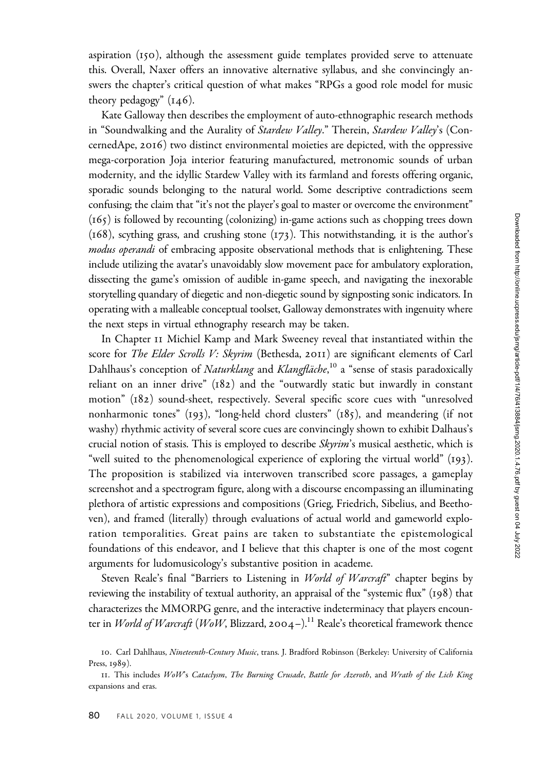aspiration (150), although the assessment guide templates provided serve to attenuate this. Overall, Naxer offers an innovative alternative syllabus, and she convincingly answers the chapter's critical question of what makes "RPGs a good role model for music theory pedagogy"  $(146)$ .

Kate Galloway then describes the employment of auto-ethnographic research methods in "Soundwalking and the Aurality of Stardew Valley." Therein, Stardew Valley's (ConcernedApe, 2016) two distinct environmental moieties are depicted, with the oppressive mega-corporation Joja interior featuring manufactured, metronomic sounds of urban modernity, and the idyllic Stardew Valley with its farmland and forests offering organic, sporadic sounds belonging to the natural world. Some descriptive contradictions seem confusing; the claim that "it's not the player's goal to master or overcome the environment" (165) is followed by recounting (colonizing) in-game actions such as chopping trees down (168), scything grass, and crushing stone (173). This notwithstanding, it is the author's modus operandi of embracing apposite observational methods that is enlightening. These include utilizing the avatar's unavoidably slow movement pace for ambulatory exploration, dissecting the game's omission of audible in-game speech, and navigating the inexorable storytelling quandary of diegetic and non-diegetic sound by signposting sonic indicators. In operating with a malleable conceptual toolset, Galloway demonstrates with ingenuity where the next steps in virtual ethnography research may be taken.

In Chapter 11 Michiel Kamp and Mark Sweeney reveal that instantiated within the score for The Elder Scrolls V: Skyrim (Bethesda, 2011) are significant elements of Carl Dahlhaus's conception of *Naturklang* and *Klangfläche*,<sup>10</sup> a "sense of stasis paradoxically reliant on an inner drive" (182) and the "outwardly static but inwardly in constant motion" (182) sound-sheet, respectively. Several specific score cues with "unresolved nonharmonic tones" (193), "long-held chord clusters" (185), and meandering (if not washy) rhythmic activity of several score cues are convincingly shown to exhibit Dalhaus's crucial notion of stasis. This is employed to describe Skyrim's musical aesthetic, which is "well suited to the phenomenological experience of exploring the virtual world" (193). The proposition is stabilized via interwoven transcribed score passages, a gameplay screenshot and a spectrogram figure, along with a discourse encompassing an illuminating plethora of artistic expressions and compositions (Grieg, Friedrich, Sibelius, and Beethoven), and framed (literally) through evaluations of actual world and gameworld exploration temporalities. Great pains are taken to substantiate the epistemological foundations of this endeavor, and I believe that this chapter is one of the most cogent arguments for ludomusicology's substantive position in academe.

Steven Reale's final "Barriers to Listening in *World of Warcraft"* chapter begins by reviewing the instability of textual authority, an appraisal of the "systemic flux" (198) that characterizes the MMORPG genre, and the interactive indeterminacy that players encounter in World of Warcraft (WoW, Blizzard, 2004–).<sup>11</sup> Reale's theoretical framework thence

<sup>10.</sup> Carl Dahlhaus, Nineteenth-Century Music, trans. J. Bradford Robinson (Berkeley: University of California Press, 1989).

<sup>11</sup>. This includes WoW's Cataclysm, The Burning Crusade, Battle for Azeroth, and Wrath of the Lich King expansions and eras.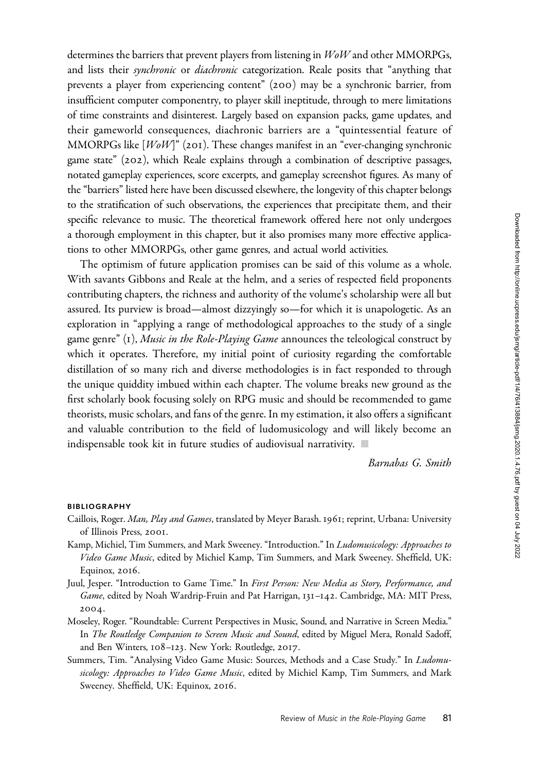Downloaded from http://online.ucpress.edu/jsmg/article-pdf/1/4/76/413884/jsmg.2020.1.4.76.pdf by guest on 04 July 2022

determines the barriers that prevent players from listening in WoW and other MMORPGs, and lists their synchronic or diachronic categorization. Reale posits that "anything that prevents a player from experiencing content" (200) may be a synchronic barrier, from insufficient computer componentry, to player skill ineptitude, through to mere limitations of time constraints and disinterest. Largely based on expansion packs, game updates, and their gameworld consequences, diachronic barriers are a "quintessential feature of MMORPGs like [WoW]" (201). These changes manifest in an "ever-changing synchronic game state" (202), which Reale explains through a combination of descriptive passages, notated gameplay experiences, score excerpts, and gameplay screenshot figures. As many of the "barriers" listed here have been discussed elsewhere, the longevity of this chapter belongs to the stratification of such observations, the experiences that precipitate them, and their specific relevance to music. The theoretical framework offered here not only undergoes a thorough employment in this chapter, but it also promises many more effective applications to other MMORPGs, other game genres, and actual world activities.

The optimism of future application promises can be said of this volume as a whole. With savants Gibbons and Reale at the helm, and a series of respected field proponents contributing chapters, the richness and authority of the volume's scholarship were all but assured. Its purview is broad—almost dizzyingly so—for which it is unapologetic. As an exploration in "applying a range of methodological approaches to the study of a single game genre"  $(1)$ , Music in the Role-Playing Game announces the teleological construct by which it operates. Therefore, my initial point of curiosity regarding the comfortable distillation of so many rich and diverse methodologies is in fact responded to through the unique quiddity imbued within each chapter. The volume breaks new ground as the first scholarly book focusing solely on RPG music and should be recommended to game theorists, music scholars, and fans of the genre. In my estimation, it also offers a significant and valuable contribution to the field of ludomusicology and will likely become an indispensable took kit in future studies of audiovisual narrativity.  $\blacksquare$ 

Barnabas G. Smith

## BIBLIOGRAPHY

- Caillois, Roger. Man, Play and Games, translated by Meyer Barash. 1961; reprint, Urbana: University of Illinois Press, 2001.
- Kamp, Michiel, Tim Summers, and Mark Sweeney. "Introduction." In Ludomusicology: Approaches to Video Game Music, edited by Michiel Kamp, Tim Summers, and Mark Sweeney. Sheffield, UK: Equinox, 2016.
- Juul, Jesper. "Introduction to Game Time." In First Person: New Media as Story, Performance, and Game, edited by Noah Wardrip-Fruin and Pat Harrigan, 131-142. Cambridge, MA: MIT Press, 2004.
- Moseley, Roger. "Roundtable: Current Perspectives in Music, Sound, and Narrative in Screen Media." In The Routledge Companion to Screen Music and Sound, edited by Miguel Mera, Ronald Sadoff, and Ben Winters, 108–123. New York: Routledge, 2017.
- Summers, Tim. "Analysing Video Game Music: Sources, Methods and a Case Study." In Ludomusicology: Approaches to Video Game Music, edited by Michiel Kamp, Tim Summers, and Mark Sweeney. Sheffield, UK: Equinox, 2016.